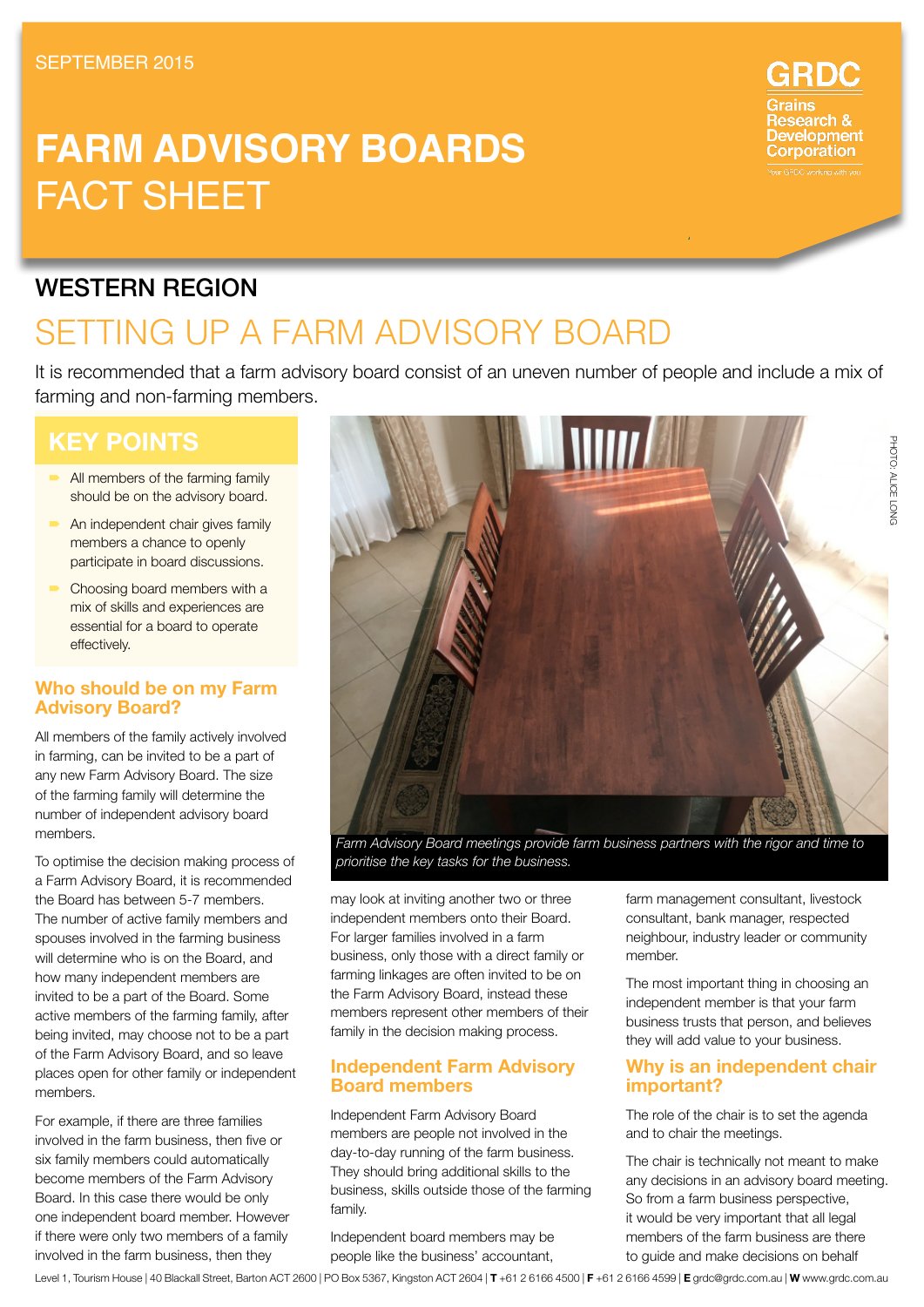# **Farm advisory boards** FACT SHEET



## setting up a farm advisory board

It is recommended that a farm advisory board consist of an uneven number of people and include a mix of farming and non-farming members.

## **Key Points**

- All members of the farming family should be on the advisory board.
- An independent chair gives family members a chance to openly participate in board discussions.
- Choosing board members with a mix of skills and experiences are essential for a board to operate effectively.

## **Who should be on my Farm Advisory Board?**

All members of the family actively involved in farming, can be invited to be a part of any new Farm Advisory Board. The size of the farming family will determine the number of independent advisory board members.

To optimise the decision making process of a Farm Advisory Board, it is recommended the Board has between 5-7 members. The number of active family members and spouses involved in the farming business will determine who is on the Board, and how many independent members are invited to be a part of the Board. Some active members of the farming family, after being invited, may choose not to be a part of the Farm Advisory Board, and so leave places open for other family or independent members.

For example, if there are three families involved in the farm business, then five or six family members could automatically become members of the Farm Advisory Board. In this case there would be only one independent board member. However if there were only two members of a family involved in the farm business, then they

| \\\\\\\\

*Farm Advisory Board meetings provide farm business partners with the rigor and time to prioritise the key tasks for the business.*

may look at inviting another two or three independent members onto their Board. For larger families involved in a farm business, only those with a direct family or farming linkages are often invited to be on the Farm Advisory Board, instead these members represent other members of their family in the decision making process.

#### **Independent Farm Advisory Board members**

Independent Farm Advisory Board members are people not involved in the day-to-day running of the farm business. They should bring additional skills to the business, skills outside those of the farming family.

Independent board members may be people like the business' accountant, farm management consultant, livestock consultant, bank manager, respected neighbour, industry leader or community member.

The most important thing in choosing an independent member is that your farm business trusts that person, and believes they will add value to your business.

## **Why is an independent chair important?**

The role of the chair is to set the agenda and to chair the meetings.

The chair is technically not meant to make any decisions in an advisory board meeting. So from a farm business perspective, it would be very important that all legal members of the farm business are there to guide and make decisions on behalf